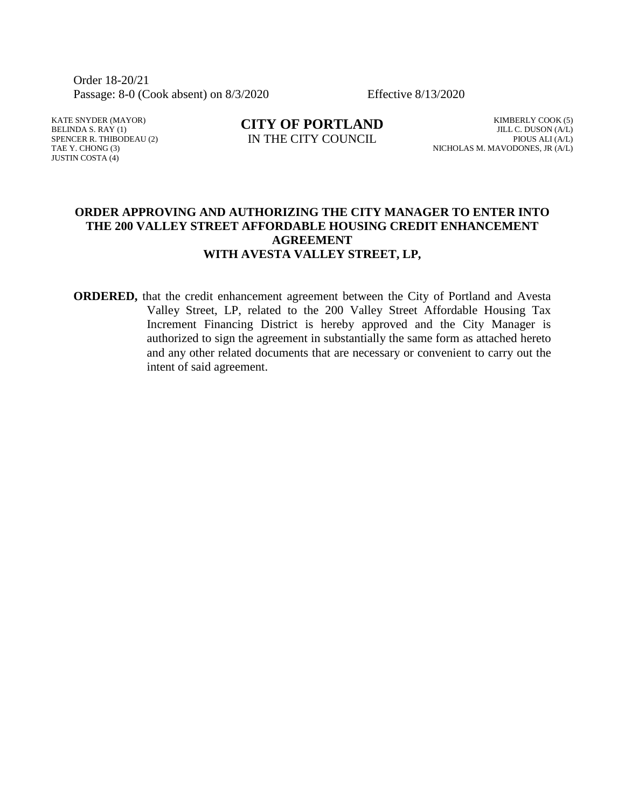Order 18-20/21 Passage: 8-0 (Cook absent) on 8/3/2020 Effective 8/13/2020

KATE SNYDER (MAYOR) BELINDA S. RAY (1) SPENCER R. THIBODEAU (2) TAE Y. CHONG (3) JUSTIN COSTA (4)

**CITY OF PORTLAND** IN THE CITY COUNCIL

KIMBERLY COOK (5) JILL C. DUSON (A/L) PIOUS ALI (A/L) NICHOLAS M. MAVODONES, JR (A/L)

#### **ORDER APPROVING AND AUTHORIZING THE CITY MANAGER TO ENTER INTO THE 200 VALLEY STREET AFFORDABLE HOUSING CREDIT ENHANCEMENT AGREEMENT WITH AVESTA VALLEY STREET, LP,**

**ORDERED,** that the credit enhancement agreement between the City of Portland and Avesta Valley Street, LP, related to the 200 Valley Street Affordable Housing Tax Increment Financing District is hereby approved and the City Manager is authorized to sign the agreement in substantially the same form as attached hereto and any other related documents that are necessary or convenient to carry out the intent of said agreement.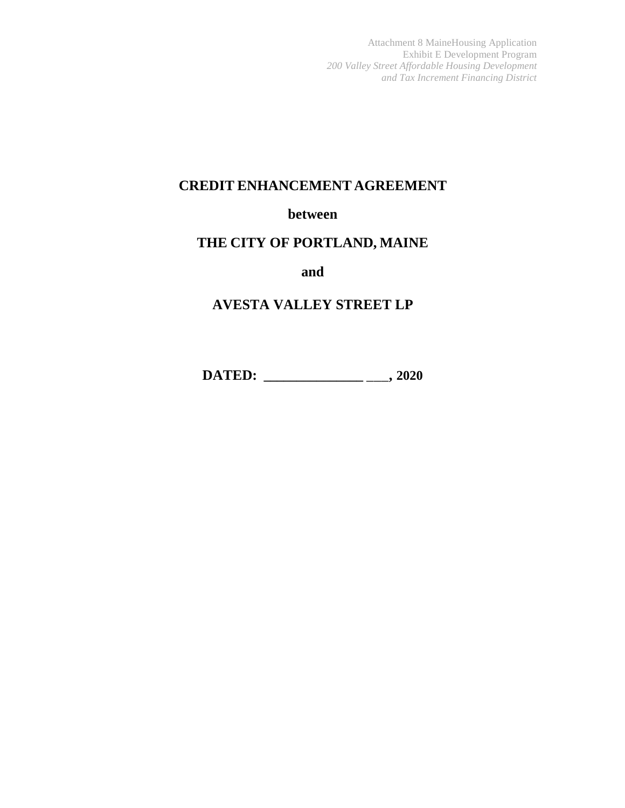Attachment 8 MaineHousing Application Exhibit E Development Program *200 Valley Street Affordable Housing Development and Tax Increment Financing District*

# **CREDIT ENHANCEMENT AGREEMENT**

## **between**

# **THE CITY OF PORTLAND, MAINE**

**and**

# **AVESTA VALLEY STREET LP**

**DATED: \_\_\_\_\_\_\_\_\_\_\_\_\_\_\_** \_\_\_**, 2020**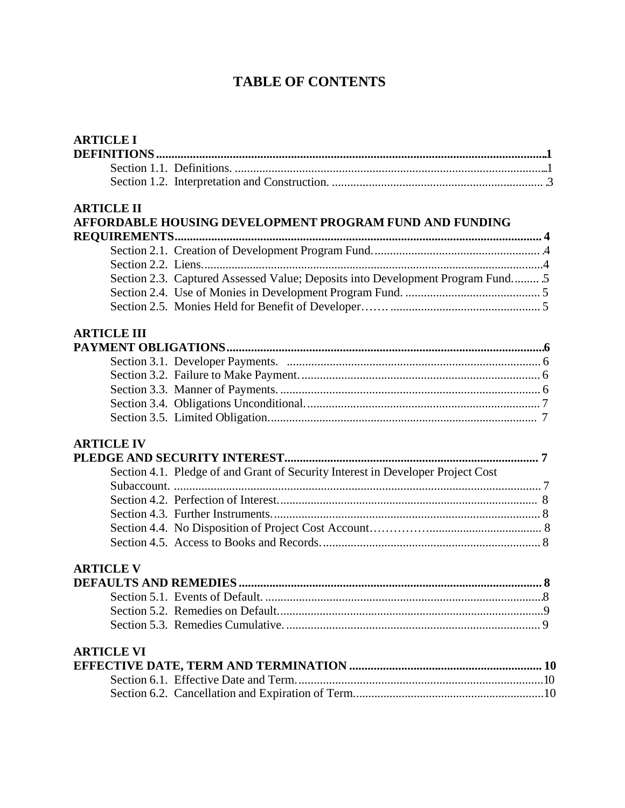# **TABLE OF CONTENTS**

| <b>ARTICLE I</b>   |                                                                                 |  |
|--------------------|---------------------------------------------------------------------------------|--|
|                    |                                                                                 |  |
|                    |                                                                                 |  |
|                    |                                                                                 |  |
| <b>ARTICLE II</b>  |                                                                                 |  |
|                    | AFFORDABLE HOUSING DEVELOPMENT PROGRAM FUND AND FUNDING                         |  |
|                    |                                                                                 |  |
|                    |                                                                                 |  |
|                    |                                                                                 |  |
|                    | Section 2.3. Captured Assessed Value; Deposits into Development Program Fund 5  |  |
|                    |                                                                                 |  |
|                    |                                                                                 |  |
| <b>ARTICLE III</b> |                                                                                 |  |
|                    |                                                                                 |  |
|                    |                                                                                 |  |
|                    |                                                                                 |  |
|                    |                                                                                 |  |
|                    |                                                                                 |  |
|                    |                                                                                 |  |
| <b>ARTICLE IV</b>  |                                                                                 |  |
|                    |                                                                                 |  |
|                    | Section 4.1. Pledge of and Grant of Security Interest in Developer Project Cost |  |
|                    |                                                                                 |  |
|                    |                                                                                 |  |
|                    |                                                                                 |  |
|                    |                                                                                 |  |
|                    |                                                                                 |  |
| <b>ARTICLE V</b>   |                                                                                 |  |
|                    |                                                                                 |  |
|                    |                                                                                 |  |
|                    |                                                                                 |  |
|                    |                                                                                 |  |
| <b>ARTICLE VI</b>  |                                                                                 |  |
|                    |                                                                                 |  |
|                    |                                                                                 |  |
|                    |                                                                                 |  |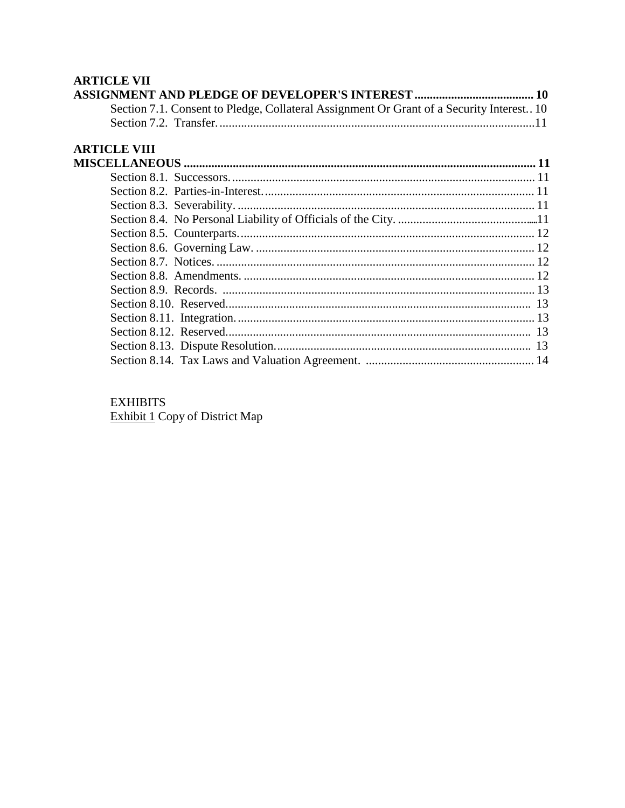# **ARTICLE VII**

| Section 7.1. Consent to Pledge, Collateral Assignment Or Grant of a Security Interest 10 |  |
|------------------------------------------------------------------------------------------|--|
|                                                                                          |  |
|                                                                                          |  |

# **ARTICLE VIII**

# **EXHIBITS**

Exhibit 1 Copy of District Map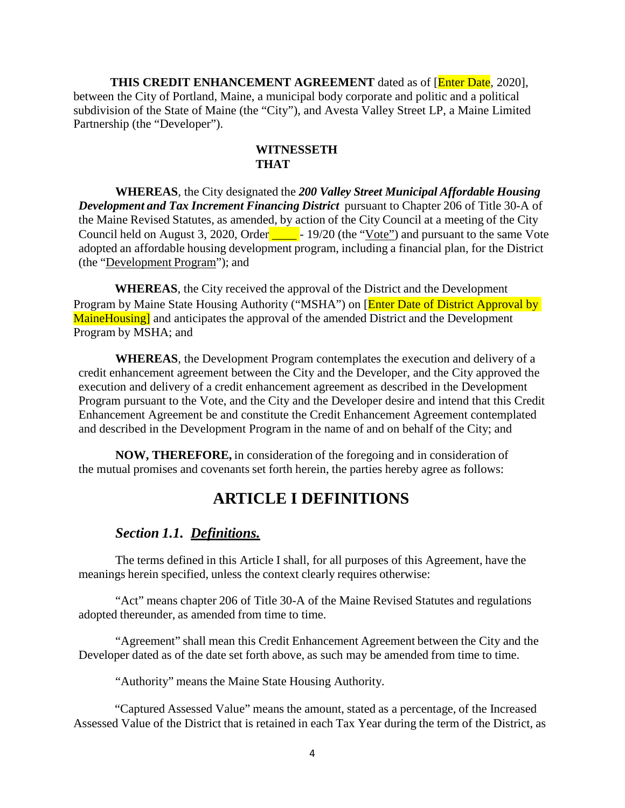**THIS CREDIT ENHANCEMENT AGREEMENT** dated as of [Enter Date, 2020], between the City of Portland, Maine, a municipal body corporate and politic and a political subdivision of the State of Maine (the "City"), and Avesta Valley Street LP, a Maine Limited Partnership (the "Developer").

#### **WITNESSETH THAT**

**WHEREAS**, the City designated the *200 Valley Street Municipal Affordable Housing Development and Tax Increment Financing District* pursuant to Chapter 206 of Title 30-A of the Maine Revised Statutes, as amended, by action of the City Council at a meeting of the City Council held on August 3, 2020, Order \_\_\_\_\_\_\_- 19/20 (the "Vote") and pursuant to the same Vote adopted an affordable housing development program, including a financial plan, for the District (the "Development Program"); and

**WHEREAS**, the City received the approval of the District and the Development Program by Maine State Housing Authority ("MSHA") on [Enter Date of District Approval by MaineHousing] and anticipates the approval of the amended District and the Development Program by MSHA; and

**WHEREAS**, the Development Program contemplates the execution and delivery of a credit enhancement agreement between the City and the Developer, and the City approved the execution and delivery of a credit enhancement agreement as described in the Development Program pursuant to the Vote, and the City and the Developer desire and intend that this Credit Enhancement Agreement be and constitute the Credit Enhancement Agreement contemplated and described in the Development Program in the name of and on behalf of the City; and

**NOW, THEREFORE,** in consideration of the foregoing and in consideration of the mutual promises and covenants set forth herein, the parties hereby agree as follows:

# **ARTICLE I DEFINITIONS**

### *Section 1.1. Definitions.*

The terms defined in this Article I shall, for all purposes of this Agreement, have the meanings herein specified, unless the context clearly requires otherwise:

"Act" means chapter 206 of Title 30-A of the Maine Revised Statutes and regulations adopted thereunder, as amended from time to time.

"Agreement" shall mean this Credit Enhancement Agreement between the City and the Developer dated as of the date set forth above, as such may be amended from time to time.

"Authority" means the Maine State Housing Authority.

"Captured Assessed Value" means the amount, stated as a percentage, of the Increased Assessed Value of the District that is retained in each Tax Year during the term of the District, as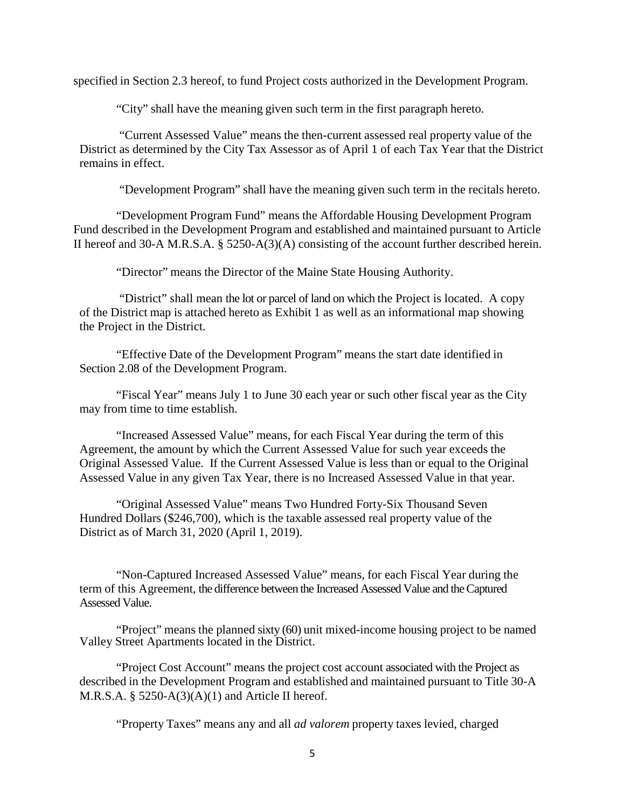specified in Section 2.3 hereof, to fund Project costs authorized in the Development Program.

"City" shall have the meaning given such term in the first paragraph hereto.

"Current Assessed Value" means the then-current assessed real property value of the District as determined by the City Tax Assessor as of April 1 of each Tax Year that the District remains in effect.

"Development Program" shall have the meaning given such term in the recitals hereto.

"Development Program Fund" means the Affordable Housing Development Program Fund described in the Development Program and established and maintained pursuant to Article II hereof and 30-A M.R.S.A. § 5250-A(3)(A) consisting of the account further described herein.

"Director" means the Director of the Maine State Housing Authority.

"District" shall mean the lot or parcel of land on which the Project is located. A copy of the District map is attached hereto as Exhibit 1 as well as an informational map showing the Project in the District.

"Effective Date of the Development Program" means the start date identified in Section 2.08 of the Development Program.

"Fiscal Year" means July 1 to June 30 each year or such other fiscal year as the City may from time to time establish.

"Increased Assessed Value" means, for each Fiscal Year during the term of this Agreement, the amount by which the Current Assessed Value for such year exceeds the Original Assessed Value. If the Current Assessed Value is less than or equal to the Original Assessed Value in any given Tax Year, there is no Increased Assessed Value in that year.

"Original Assessed Value" means Two Hundred Forty-Six Thousand Seven Hundred Dollars (\$246,700), which is the taxable assessed real property value of the District as of March 31, 2020 (April 1, 2019).

"Non-Captured Increased Assessed Value" means, for each Fiscal Year during the term of this Agreement, the difference between the Increased Assessed Value and the Captured Assessed Value.

"Project" means the planned sixty (60) unit mixed-income housing project to be named Valley Street Apartments located in the District.

"Project Cost Account" means the project cost account associated with the Project as described in the Development Program and established and maintained pursuant to Title 30-A M.R.S.A.  $\S$  5250-A(3)(A)(1) and Article II hereof.

"Property Taxes" means any and all *ad valorem* property taxes levied, charged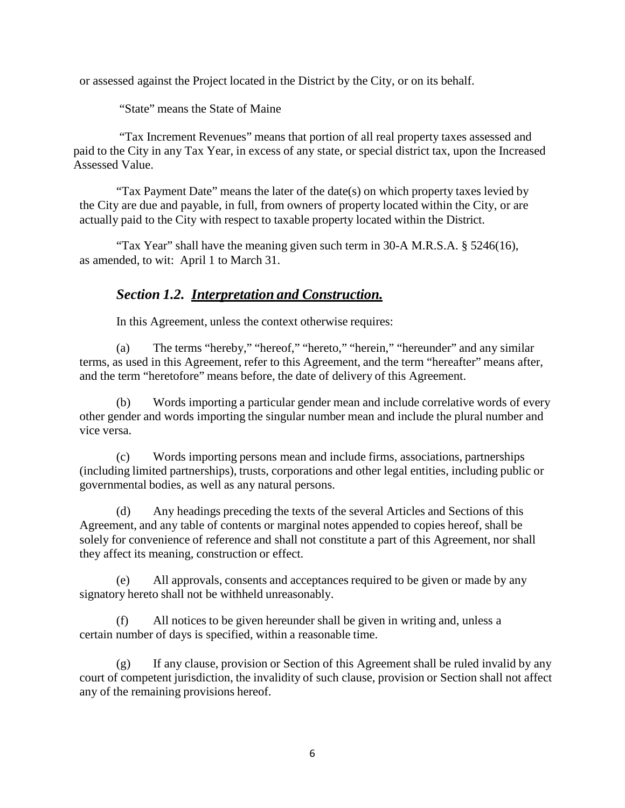or assessed against the Project located in the District by the City, or on its behalf.

"State" means the State of Maine

 "Tax Increment Revenues" means that portion of all real property taxes assessed and paid to the City in any Tax Year, in excess of any state, or special district tax, upon the Increased Assessed Value.

"Tax Payment Date" means the later of the date(s) on which property taxes levied by the City are due and payable, in full, from owners of property located within the City, or are actually paid to the City with respect to taxable property located within the District.

"Tax Year" shall have the meaning given such term in 30-A M.R.S.A. § 5246(16), as amended, to wit: April 1 to March 31.

# *Section 1.2. Interpretation and Construction.*

In this Agreement, unless the context otherwise requires:

(a) The terms "hereby," "hereof," "hereto," "herein," "hereunder" and any similar terms, as used in this Agreement, refer to this Agreement, and the term "hereafter" means after, and the term "heretofore" means before, the date of delivery of this Agreement.

(b) Words importing a particular gender mean and include correlative words of every other gender and words importing the singular number mean and include the plural number and vice versa.

(c) Words importing persons mean and include firms, associations, partnerships (including limited partnerships), trusts, corporations and other legal entities, including public or governmental bodies, as well as any natural persons.

(d) Any headings preceding the texts of the several Articles and Sections of this Agreement, and any table of contents or marginal notes appended to copies hereof, shall be solely for convenience of reference and shall not constitute a part of this Agreement, nor shall they affect its meaning, construction or effect.

(e) All approvals, consents and acceptances required to be given or made by any signatory hereto shall not be withheld unreasonably.

All notices to be given hereunder shall be given in writing and, unless a certain number of days is specified, within a reasonable time.

(g) If any clause, provision or Section of this Agreement shall be ruled invalid by any court of competent jurisdiction, the invalidity of such clause, provision or Section shall not affect any of the remaining provisions hereof.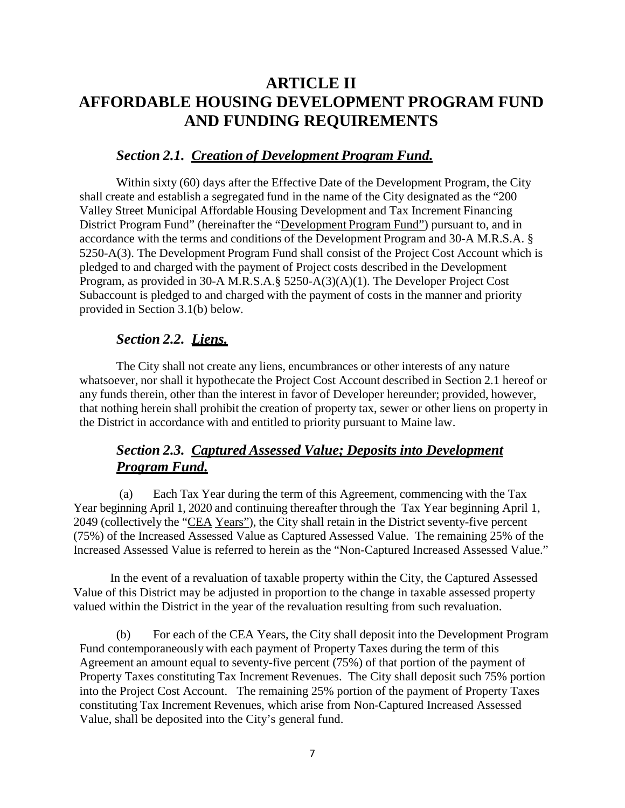# **ARTICLE II AFFORDABLE HOUSING DEVELOPMENT PROGRAM FUND AND FUNDING REQUIREMENTS**

## *Section 2.1. Creation of Development Program Fund.*

Within sixty (60) days after the Effective Date of the Development Program, the City shall create and establish a segregated fund in the name of the City designated as the "200 Valley Street Municipal Affordable Housing Development and Tax Increment Financing District Program Fund" (hereinafter the "Development Program Fund") pursuant to, and in accordance with the terms and conditions of the Development Program and 30-A M.R.S.A. § 5250-A(3). The Development Program Fund shall consist of the Project Cost Account which is pledged to and charged with the payment of Project costs described in the Development Program, as provided in 30-A M.R.S.A.§ 5250-A(3)(A)(1). The Developer Project Cost Subaccount is pledged to and charged with the payment of costs in the manner and priority provided in Section 3.1(b) below.

# *Section 2.2. Liens.*

The City shall not create any liens, encumbrances or other interests of any nature whatsoever, nor shall it hypothecate the Project Cost Account described in Section 2.1 hereof or any funds therein, other than the interest in favor of Developer hereunder; provided, however, that nothing herein shall prohibit the creation of property tax, sewer or other liens on property in the District in accordance with and entitled to priority pursuant to Maine law.

# *Section 2.3. Captured Assessed Value; Deposits into Development Program Fund.*

(a) Each Tax Year during the term of this Agreement, commencing with the Tax Year beginning April 1, 2020 and continuing thereafter through the Tax Year beginning April 1, 2049 (collectively the "CEA Years"), the City shall retain in the District seventy-five percent (75%) of the Increased Assessed Value as Captured Assessed Value. The remaining 25% of the Increased Assessed Value is referred to herein as the "Non-Captured Increased Assessed Value."

In the event of a revaluation of taxable property within the City, the Captured Assessed Value of this District may be adjusted in proportion to the change in taxable assessed property valued within the District in the year of the revaluation resulting from such revaluation.

(b) For each of the CEA Years, the City shall deposit into the Development Program Fund contemporaneously with each payment of Property Taxes during the term of this Agreement an amount equal to seventy-five percent (75%) of that portion of the payment of Property Taxes constituting Tax Increment Revenues. The City shall deposit such 75% portion into the Project Cost Account. The remaining 25% portion of the payment of Property Taxes constituting Tax Increment Revenues, which arise from Non-Captured Increased Assessed Value, shall be deposited into the City's general fund.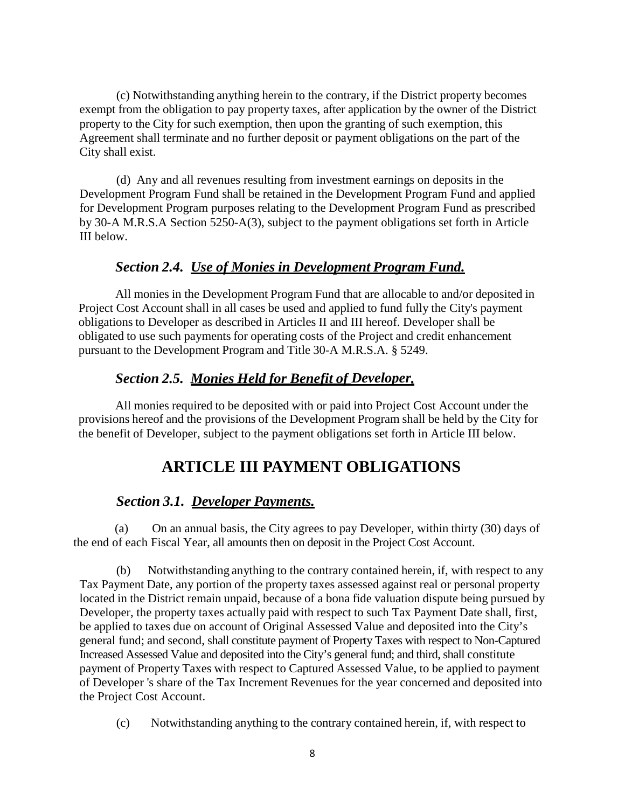(c) Notwithstanding anything herein to the contrary, if the District property becomes exempt from the obligation to pay property taxes, after application by the owner of the District property to the City for such exemption, then upon the granting of such exemption, this Agreement shall terminate and no further deposit or payment obligations on the part of the City shall exist.

(d) Any and all revenues resulting from investment earnings on deposits in the Development Program Fund shall be retained in the Development Program Fund and applied for Development Program purposes relating to the Development Program Fund as prescribed by 30-A M.R.S.A Section 5250-A(3), subject to the payment obligations set forth in Article III below.

### *Section 2.4. Use of Monies in Development Program Fund.*

All monies in the Development Program Fund that are allocable to and/or deposited in Project Cost Account shall in all cases be used and applied to fund fully the City's payment obligations to Developer as described in Articles II and III hereof. Developer shall be obligated to use such payments for operating costs of the Project and credit enhancement pursuant to the Development Program and Title 30-A M.R.S.A. § 5249.

### *Section 2.5. Monies Held for Benefit of Developer.*

All monies required to be deposited with or paid into Project Cost Account under the provisions hereof and the provisions of the Development Program shall be held by the City for the benefit of Developer, subject to the payment obligations set forth in Article III below.

# **ARTICLE III PAYMENT OBLIGATIONS**

### *Section 3.1. Developer Payments.*

(a) On an annual basis, the City agrees to pay Developer, within thirty (30) days of the end of each Fiscal Year, all amounts then on deposit in the Project Cost Account.

(b) Notwithstanding anything to the contrary contained herein, if, with respect to any Tax Payment Date, any portion of the property taxes assessed against real or personal property located in the District remain unpaid, because of a bona fide valuation dispute being pursued by Developer, the property taxes actually paid with respect to such Tax Payment Date shall, first, be applied to taxes due on account of Original Assessed Value and deposited into the City's general fund; and second, shall constitute payment of Property Taxes with respect to Non-Captured Increased Assessed Value and deposited into the City's general fund; and third, shall constitute payment of Property Taxes with respect to Captured Assessed Value, to be applied to payment of Developer 's share of the Tax Increment Revenues for the year concerned and deposited into the Project Cost Account.

(c) Notwithstanding anything to the contrary contained herein, if, with respect to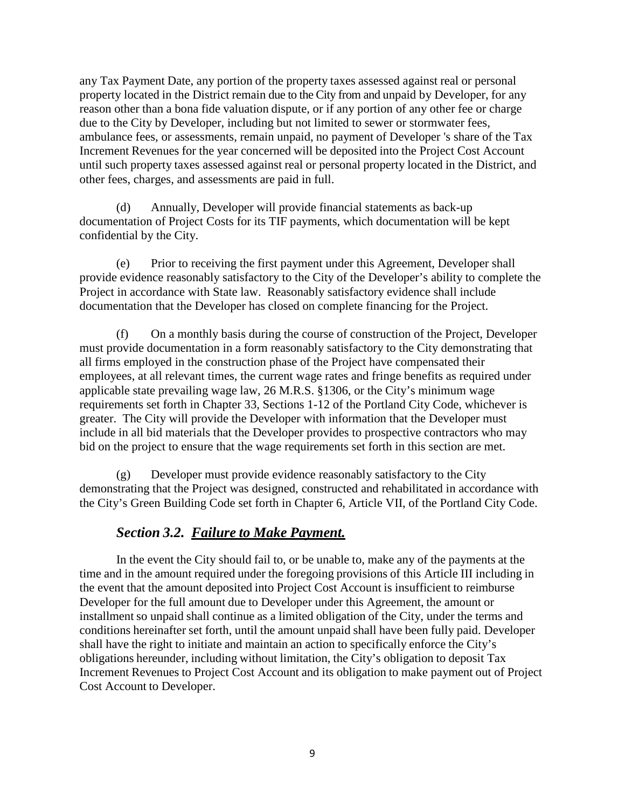any Tax Payment Date, any portion of the property taxes assessed against real or personal property located in the District remain due to the City from and unpaid by Developer, for any reason other than a bona fide valuation dispute, or if any portion of any other fee or charge due to the City by Developer, including but not limited to sewer or stormwater fees, ambulance fees, or assessments, remain unpaid, no payment of Developer 's share of the Tax Increment Revenues for the year concerned will be deposited into the Project Cost Account until such property taxes assessed against real or personal property located in the District, and other fees, charges, and assessments are paid in full.

(d) Annually, Developer will provide financial statements as back-up documentation of Project Costs for its TIF payments, which documentation will be kept confidential by the City.

(e) Prior to receiving the first payment under this Agreement, Developer shall provide evidence reasonably satisfactory to the City of the Developer's ability to complete the Project in accordance with State law. Reasonably satisfactory evidence shall include documentation that the Developer has closed on complete financing for the Project.

(f) On a monthly basis during the course of construction of the Project, Developer must provide documentation in a form reasonably satisfactory to the City demonstrating that all firms employed in the construction phase of the Project have compensated their employees, at all relevant times, the current wage rates and fringe benefits as required under applicable state prevailing wage law, 26 M.R.S. §1306, or the City's minimum wage requirements set forth in Chapter 33, Sections 1-12 of the Portland City Code, whichever is greater. The City will provide the Developer with information that the Developer must include in all bid materials that the Developer provides to prospective contractors who may bid on the project to ensure that the wage requirements set forth in this section are met.

(g) Developer must provide evidence reasonably satisfactory to the City demonstrating that the Project was designed, constructed and rehabilitated in accordance with the City's Green Building Code set forth in Chapter 6, Article VII, of the Portland City Code.

### *Section 3.2. Failure to Make Payment.*

In the event the City should fail to, or be unable to, make any of the payments at the time and in the amount required under the foregoing provisions of this Article III including in the event that the amount deposited into Project Cost Account is insufficient to reimburse Developer for the full amount due to Developer under this Agreement, the amount or installment so unpaid shall continue as a limited obligation of the City, under the terms and conditions hereinafter set forth, until the amount unpaid shall have been fully paid. Developer shall have the right to initiate and maintain an action to specifically enforce the City's obligations hereunder, including without limitation, the City's obligation to deposit Tax Increment Revenues to Project Cost Account and its obligation to make payment out of Project Cost Account to Developer.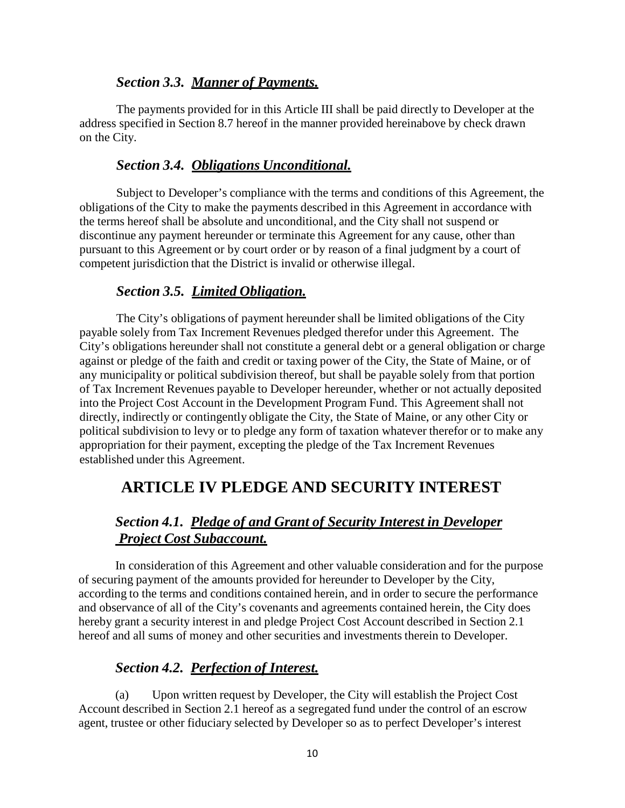### *Section 3.3. Manner of Payments.*

The payments provided for in this Article III shall be paid directly to Developer at the address specified in Section 8.7 hereof in the manner provided hereinabove by check drawn on the City.

## *Section 3.4. Obligations Unconditional.*

Subject to Developer's compliance with the terms and conditions of this Agreement, the obligations of the City to make the payments described in this Agreement in accordance with the terms hereof shall be absolute and unconditional, and the City shall not suspend or discontinue any payment hereunder or terminate this Agreement for any cause, other than pursuant to this Agreement or by court order or by reason of a final judgment by a court of competent jurisdiction that the District is invalid or otherwise illegal.

## *Section 3.5. Limited Obligation.*

The City's obligations of payment hereunder shall be limited obligations of the City payable solely from Tax Increment Revenues pledged therefor under this Agreement. The City's obligations hereunder shall not constitute a general debt or a general obligation or charge against or pledge of the faith and credit or taxing power of the City, the State of Maine, or of any municipality or political subdivision thereof, but shall be payable solely from that portion of Tax Increment Revenues payable to Developer hereunder, whether or not actually deposited into the Project Cost Account in the Development Program Fund. This Agreement shall not directly, indirectly or contingently obligate the City, the State of Maine, or any other City or political subdivision to levy or to pledge any form of taxation whatever therefor or to make any appropriation for their payment, excepting the pledge of the Tax Increment Revenues established under this Agreement.

# **ARTICLE IV PLEDGE AND SECURITY INTEREST**

# *Section 4.1. Pledge of and Grant of Security Interest in Developer Project Cost Subaccount.*

In consideration of this Agreement and other valuable consideration and for the purpose of securing payment of the amounts provided for hereunder to Developer by the City, according to the terms and conditions contained herein, and in order to secure the performance and observance of all of the City's covenants and agreements contained herein, the City does hereby grant a security interest in and pledge Project Cost Account described in Section 2.1 hereof and all sums of money and other securities and investments therein to Developer.

## *Section 4.2. Perfection of Interest.*

(a) Upon written request by Developer, the City will establish the Project Cost Account described in Section 2.1 hereof as a segregated fund under the control of an escrow agent, trustee or other fiduciary selected by Developer so as to perfect Developer's interest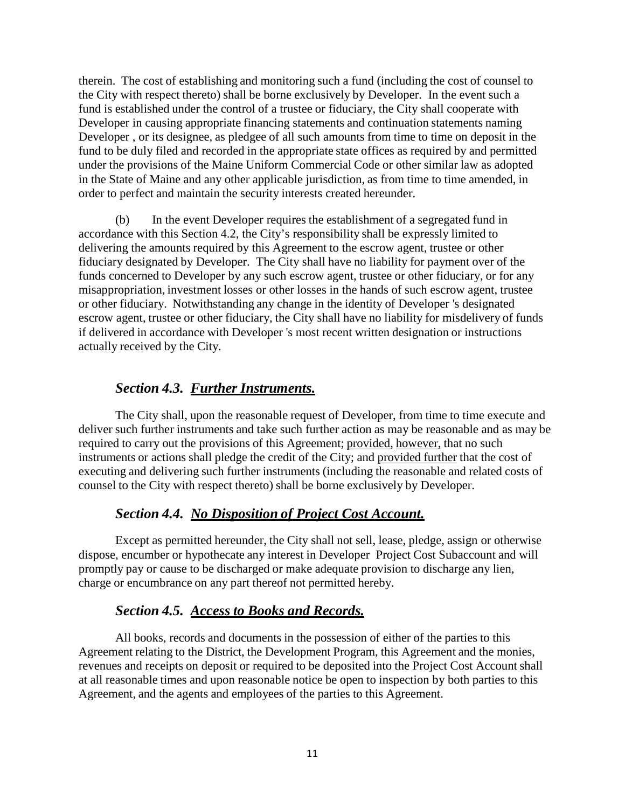therein. The cost of establishing and monitoring such a fund (including the cost of counsel to the City with respect thereto) shall be borne exclusively by Developer. In the event such a fund is established under the control of a trustee or fiduciary, the City shall cooperate with Developer in causing appropriate financing statements and continuation statements naming Developer , or its designee, as pledgee of all such amounts from time to time on deposit in the fund to be duly filed and recorded in the appropriate state offices as required by and permitted under the provisions of the Maine Uniform Commercial Code or other similar law as adopted in the State of Maine and any other applicable jurisdiction, as from time to time amended, in order to perfect and maintain the security interests created hereunder.

(b) In the event Developer requires the establishment of a segregated fund in accordance with this Section 4.2, the City's responsibility shall be expressly limited to delivering the amounts required by this Agreement to the escrow agent, trustee or other fiduciary designated by Developer. The City shall have no liability for payment over of the funds concerned to Developer by any such escrow agent, trustee or other fiduciary, or for any misappropriation, investment losses or other losses in the hands of such escrow agent, trustee or other fiduciary. Notwithstanding any change in the identity of Developer 's designated escrow agent, trustee or other fiduciary, the City shall have no liability for misdelivery of funds if delivered in accordance with Developer 's most recent written designation or instructions actually received by the City.

## *Section 4.3. Further Instruments.*

The City shall, upon the reasonable request of Developer, from time to time execute and deliver such further instruments and take such further action as may be reasonable and as may be required to carry out the provisions of this Agreement; provided, however, that no such instruments or actions shall pledge the credit of the City; and provided further that the cost of executing and delivering such further instruments (including the reasonable and related costs of counsel to the City with respect thereto) shall be borne exclusively by Developer.

## *Section 4.4. No Disposition of Project Cost Account.*

Except as permitted hereunder, the City shall not sell, lease, pledge, assign or otherwise dispose, encumber or hypothecate any interest in Developer Project Cost Subaccount and will promptly pay or cause to be discharged or make adequate provision to discharge any lien, charge or encumbrance on any part thereof not permitted hereby.

# *Section 4.5. Access to Books and Records.*

All books, records and documents in the possession of either of the parties to this Agreement relating to the District, the Development Program, this Agreement and the monies, revenues and receipts on deposit or required to be deposited into the Project Cost Account shall at all reasonable times and upon reasonable notice be open to inspection by both parties to this Agreement, and the agents and employees of the parties to this Agreement.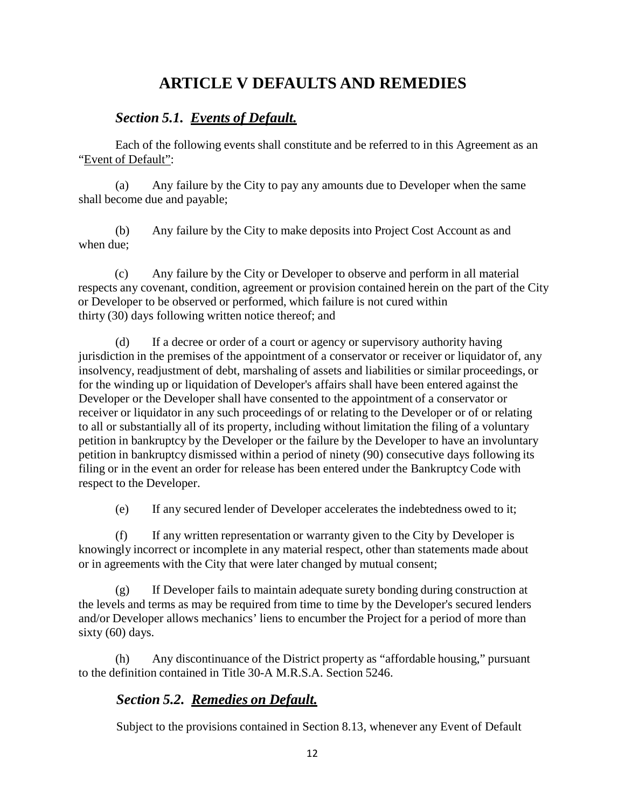# **ARTICLE V DEFAULTS AND REMEDIES**

## *Section 5.1. Events of Default.*

Each of the following events shall constitute and be referred to in this Agreement as an "Event of Default":

(a) Any failure by the City to pay any amounts due to Developer when the same shall become due and payable;

(b) Any failure by the City to make deposits into Project Cost Account as and when due;

(c) Any failure by the City or Developer to observe and perform in all material respects any covenant, condition, agreement or provision contained herein on the part of the City or Developer to be observed or performed, which failure is not cured within thirty (30) days following written notice thereof; and

(d) If a decree or order of a court or agency or supervisory authority having jurisdiction in the premises of the appointment of a conservator or receiver or liquidator of, any insolvency, readjustment of debt, marshaling of assets and liabilities or similar proceedings, or for the winding up or liquidation of Developer's affairs shall have been entered against the Developer or the Developer shall have consented to the appointment of a conservator or receiver or liquidator in any such proceedings of or relating to the Developer or of or relating to all or substantially all of its property, including without limitation the filing of a voluntary petition in bankruptcy by the Developer or the failure by the Developer to have an involuntary petition in bankruptcy dismissed within a period of ninety (90) consecutive days following its filing or in the event an order for release has been entered under the Bankruptcy Code with respect to the Developer.

(e) If any secured lender of Developer accelerates the indebtedness owed to it;

(f) If any written representation or warranty given to the City by Developer is knowingly incorrect or incomplete in any material respect, other than statements made about or in agreements with the City that were later changed by mutual consent;

(g) If Developer fails to maintain adequate surety bonding during construction at the levels and terms as may be required from time to time by the Developer's secured lenders and/or Developer allows mechanics' liens to encumber the Project for a period of more than sixty (60) days.

(h) Any discontinuance of the District property as "affordable housing," pursuant to the definition contained in Title 30-A M.R.S.A. Section 5246.

# *Section 5.2. Remedies on Default.*

Subject to the provisions contained in Section 8.13, whenever any Event of Default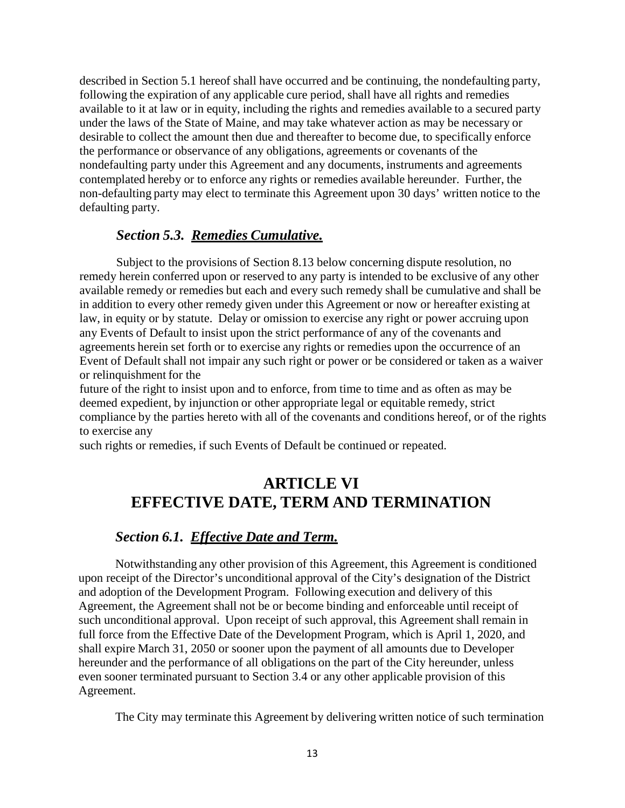described in Section 5.1 hereof shall have occurred and be continuing, the nondefaulting party, following the expiration of any applicable cure period, shall have all rights and remedies available to it at law or in equity, including the rights and remedies available to a secured party under the laws of the State of Maine, and may take whatever action as may be necessary or desirable to collect the amount then due and thereafter to become due, to specifically enforce the performance or observance of any obligations, agreements or covenants of the nondefaulting party under this Agreement and any documents, instruments and agreements contemplated hereby or to enforce any rights or remedies available hereunder. Further, the non-defaulting party may elect to terminate this Agreement upon 30 days' written notice to the defaulting party.

### *Section 5.3. Remedies Cumulative.*

Subject to the provisions of Section 8.13 below concerning dispute resolution, no remedy herein conferred upon or reserved to any party is intended to be exclusive of any other available remedy or remedies but each and every such remedy shall be cumulative and shall be in addition to every other remedy given under this Agreement or now or hereafter existing at law, in equity or by statute. Delay or omission to exercise any right or power accruing upon any Events of Default to insist upon the strict performance of any of the covenants and agreements herein set forth or to exercise any rights or remedies upon the occurrence of an Event of Default shall not impair any such right or power or be considered or taken as a waiver or relinquishment for the

future of the right to insist upon and to enforce, from time to time and as often as may be deemed expedient, by injunction or other appropriate legal or equitable remedy, strict compliance by the parties hereto with all of the covenants and conditions hereof, or of the rights to exercise any

such rights or remedies, if such Events of Default be continued or repeated.

# **ARTICLE VI EFFECTIVE DATE, TERM AND TERMINATION**

#### *Section 6.1. Effective Date and Term.*

Notwithstanding any other provision of this Agreement, this Agreement is conditioned upon receipt of the Director's unconditional approval of the City's designation of the District and adoption of the Development Program. Following execution and delivery of this Agreement, the Agreement shall not be or become binding and enforceable until receipt of such unconditional approval. Upon receipt of such approval, this Agreement shall remain in full force from the Effective Date of the Development Program, which is April 1, 2020, and shall expire March 31, 2050 or sooner upon the payment of all amounts due to Developer hereunder and the performance of all obligations on the part of the City hereunder, unless even sooner terminated pursuant to Section 3.4 or any other applicable provision of this Agreement.

The City may terminate this Agreement by delivering written notice of such termination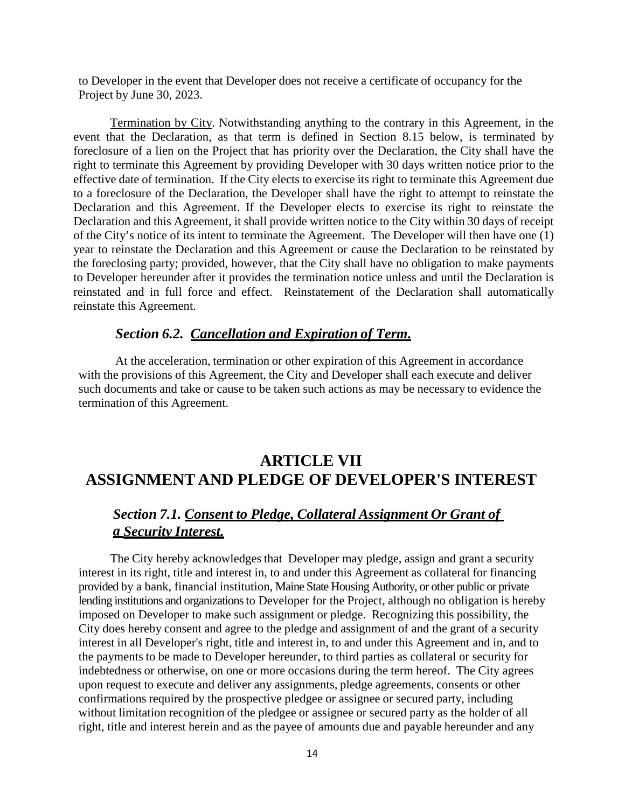to Developer in the event that Developer does not receive a certificate of occupancy for the Project by June 30, 2023.

Termination by City. Notwithstanding anything to the contrary in this Agreement, in the event that the Declaration, as that term is defined in Section 8.15 below, is terminated by foreclosure of a lien on the Project that has priority over the Declaration, the City shall have the right to terminate this Agreement by providing Developer with 30 days written notice prior to the effective date of termination. If the City elects to exercise its right to terminate this Agreement due to a foreclosure of the Declaration, the Developer shall have the right to attempt to reinstate the Declaration and this Agreement. If the Developer elects to exercise its right to reinstate the Declaration and this Agreement, it shall provide written notice to the City within 30 days of receipt of the City's notice of its intent to terminate the Agreement. The Developer will then have one (1) year to reinstate the Declaration and this Agreement or cause the Declaration to be reinstated by the foreclosing party; provided, however, that the City shall have no obligation to make payments to Developer hereunder after it provides the termination notice unless and until the Declaration is reinstated and in full force and effect. Reinstatement of the Declaration shall automatically reinstate this Agreement.

#### *Section 6.2. Cancellation and Expiration of Term.*

At the acceleration, termination or other expiration of this Agreement in accordance with the provisions of this Agreement, the City and Developer shall each execute and deliver such documents and take or cause to be taken such actions as may be necessary to evidence the termination of this Agreement.

# **ARTICLE VII ASSIGNMENT AND PLEDGE OF DEVELOPER'S INTEREST**

## *Section 7.1. Consent to Pledge, Collateral Assignment Or Grant of a Security Interest.*

The City hereby acknowledges that Developer may pledge, assign and grant a security interest in its right, title and interest in, to and under this Agreement as collateral for financing provided by a bank, financial institution, Maine State Housing Authority, or other public or private lending institutions and organizations to Developer for the Project, although no obligation is hereby imposed on Developer to make such assignment or pledge. Recognizing this possibility, the City does hereby consent and agree to the pledge and assignment of and the grant of a security interest in all Developer's right, title and interest in, to and under this Agreement and in, and to the payments to be made to Developer hereunder, to third parties as collateral or security for indebtedness or otherwise, on one or more occasions during the term hereof. The City agrees upon request to execute and deliver any assignments, pledge agreements, consents or other confirmations required by the prospective pledgee or assignee or secured party, including without limitation recognition of the pledgee or assignee or secured party as the holder of all right, title and interest herein and as the payee of amounts due and payable hereunder and any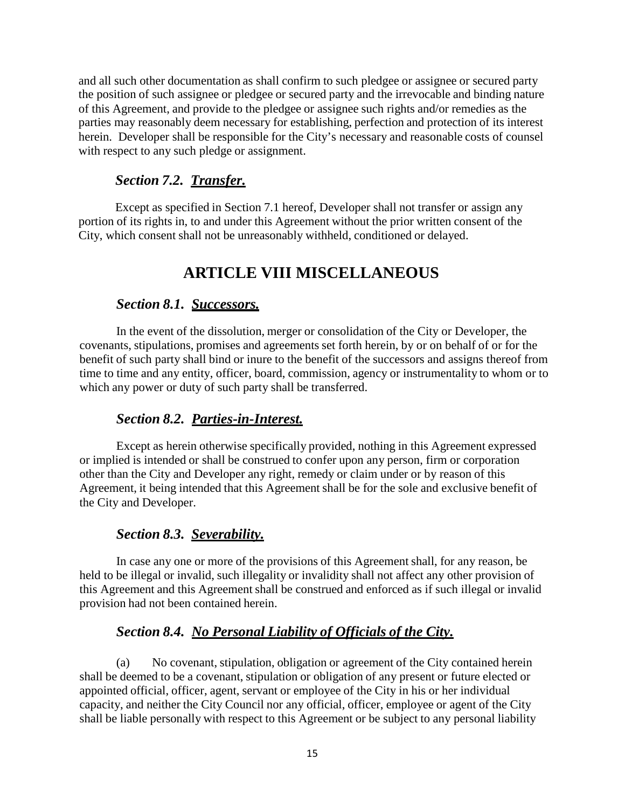and all such other documentation as shall confirm to such pledgee or assignee or secured party the position of such assignee or pledgee or secured party and the irrevocable and binding nature of this Agreement, and provide to the pledgee or assignee such rights and/or remedies as the parties may reasonably deem necessary for establishing, perfection and protection of its interest herein. Developer shall be responsible for the City's necessary and reasonable costs of counsel with respect to any such pledge or assignment.

## *Section 7.2. Transfer.*

Except as specified in Section 7.1 hereof, Developer shall not transfer or assign any portion of its rights in, to and under this Agreement without the prior written consent of the City, which consent shall not be unreasonably withheld, conditioned or delayed.

# **ARTICLE VIII MISCELLANEOUS**

## *Section 8.1. Successors.*

In the event of the dissolution, merger or consolidation of the City or Developer, the covenants, stipulations, promises and agreements set forth herein, by or on behalf of or for the benefit of such party shall bind or inure to the benefit of the successors and assigns thereof from time to time and any entity, officer, board, commission, agency or instrumentality to whom or to which any power or duty of such party shall be transferred.

## *Section 8.2. Parties-in-Interest.*

Except as herein otherwise specifically provided, nothing in this Agreement expressed or implied is intended or shall be construed to confer upon any person, firm or corporation other than the City and Developer any right, remedy or claim under or by reason of this Agreement, it being intended that this Agreement shall be for the sole and exclusive benefit of the City and Developer.

## *Section 8.3. Severability.*

In case any one or more of the provisions of this Agreement shall, for any reason, be held to be illegal or invalid, such illegality or invalidity shall not affect any other provision of this Agreement and this Agreement shall be construed and enforced as if such illegal or invalid provision had not been contained herein.

## *Section 8.4. No Personal Liability of Officials of the City.*

(a) No covenant, stipulation, obligation or agreement of the City contained herein shall be deemed to be a covenant, stipulation or obligation of any present or future elected or appointed official, officer, agent, servant or employee of the City in his or her individual capacity, and neither the City Council nor any official, officer, employee or agent of the City shall be liable personally with respect to this Agreement or be subject to any personal liability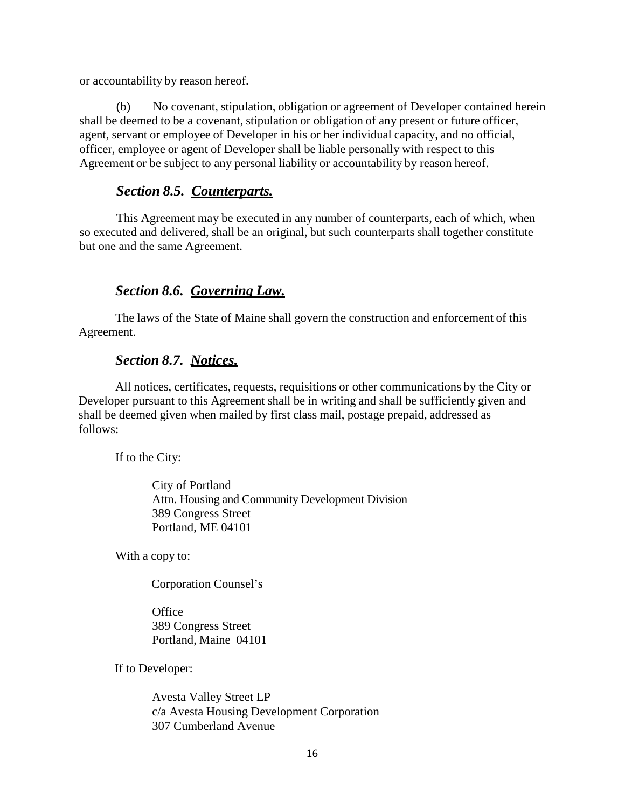or accountability by reason hereof.

(b) No covenant, stipulation, obligation or agreement of Developer contained herein shall be deemed to be a covenant, stipulation or obligation of any present or future officer, agent, servant or employee of Developer in his or her individual capacity, and no official, officer, employee or agent of Developer shall be liable personally with respect to this Agreement or be subject to any personal liability or accountability by reason hereof.

## *Section 8.5. Counterparts.*

This Agreement may be executed in any number of counterparts, each of which, when so executed and delivered, shall be an original, but such counterparts shall together constitute but one and the same Agreement.

# *Section 8.6. Governing Law.*

The laws of the State of Maine shall govern the construction and enforcement of this Agreement.

## *Section 8.7. Notices.*

All notices, certificates, requests, requisitions or other communications by the City or Developer pursuant to this Agreement shall be in writing and shall be sufficiently given and shall be deemed given when mailed by first class mail, postage prepaid, addressed as follows:

If to the City:

City of Portland Attn. Housing and Community Development Division 389 Congress Street Portland, ME 04101

With a copy to:

Corporation Counsel's

**Office** 389 Congress Street Portland, Maine 04101

If to Developer:

Avesta Valley Street LP c/a Avesta Housing Development Corporation 307 Cumberland Avenue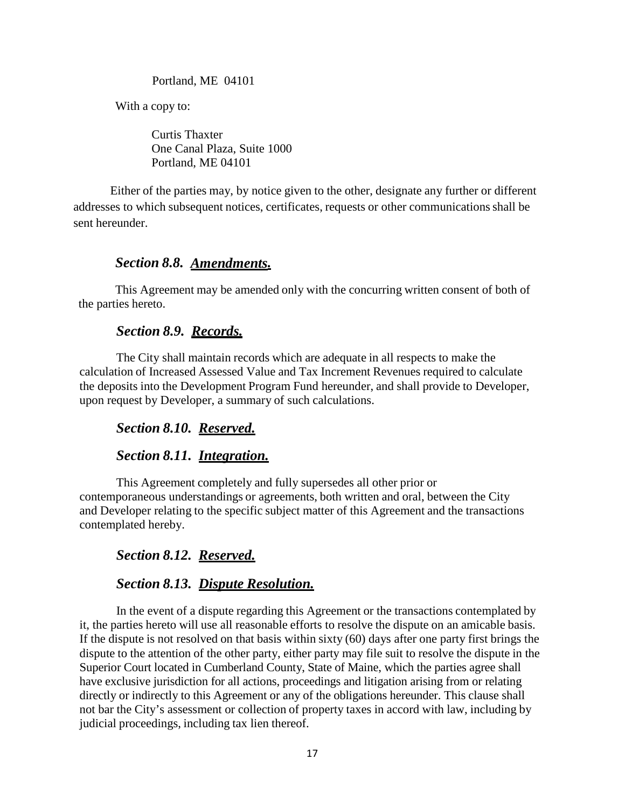Portland, ME 04101

With a copy to:

Curtis Thaxter One Canal Plaza, Suite 1000 Portland, ME 04101

Either of the parties may, by notice given to the other, designate any further or different addresses to which subsequent notices, certificates, requests or other communicationsshall be sent hereunder.

### *Section 8.8. Amendments.*

This Agreement may be amended only with the concurring written consent of both of the parties hereto.

### *Section 8.9. Records.*

The City shall maintain records which are adequate in all respects to make the calculation of Increased Assessed Value and Tax Increment Revenues required to calculate the deposits into the Development Program Fund hereunder, and shall provide to Developer, upon request by Developer, a summary of such calculations.

### *Section 8.10. Reserved.*

### *Section 8.11. Integration.*

This Agreement completely and fully supersedes all other prior or contemporaneous understandings or agreements, both written and oral, between the City and Developer relating to the specific subject matter of this Agreement and the transactions contemplated hereby.

## *Section 8.12. Reserved.*

## *Section 8.13. Dispute Resolution.*

In the event of a dispute regarding this Agreement or the transactions contemplated by it, the parties hereto will use all reasonable efforts to resolve the dispute on an amicable basis. If the dispute is not resolved on that basis within sixty (60) days after one party first brings the dispute to the attention of the other party, either party may file suit to resolve the dispute in the Superior Court located in Cumberland County, State of Maine, which the parties agree shall have exclusive jurisdiction for all actions, proceedings and litigation arising from or relating directly or indirectly to this Agreement or any of the obligations hereunder. This clause shall not bar the City's assessment or collection of property taxes in accord with law, including by judicial proceedings, including tax lien thereof.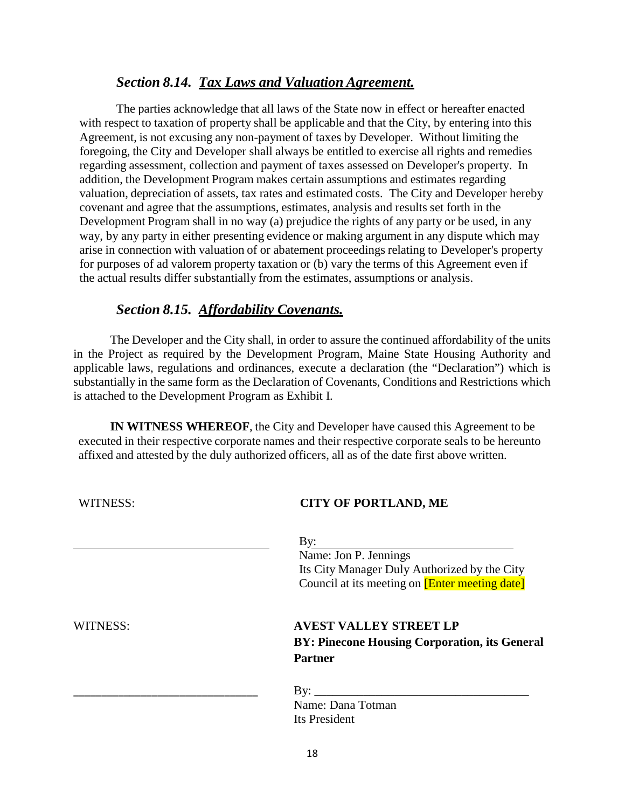### *Section 8.14. Tax Laws and Valuation Agreement.*

The parties acknowledge that all laws of the State now in effect or hereafter enacted with respect to taxation of property shall be applicable and that the City, by entering into this Agreement, is not excusing any non-payment of taxes by Developer. Without limiting the foregoing, the City and Developer shall always be entitled to exercise all rights and remedies regarding assessment, collection and payment of taxes assessed on Developer's property. In addition, the Development Program makes certain assumptions and estimates regarding valuation, depreciation of assets, tax rates and estimated costs. The City and Developer hereby covenant and agree that the assumptions, estimates, analysis and results set forth in the Development Program shall in no way (a) prejudice the rights of any party or be used, in any way, by any party in either presenting evidence or making argument in any dispute which may arise in connection with valuation of or abatement proceedings relating to Developer's property for purposes of ad valorem property taxation or (b) vary the terms of this Agreement even if the actual results differ substantially from the estimates, assumptions or analysis.

## *Section 8.15. Affordability Covenants.*

The Developer and the City shall, in order to assure the continued affordability of the units in the Project as required by the Development Program, Maine State Housing Authority and applicable laws, regulations and ordinances, execute a declaration (the "Declaration") which is substantially in the same form as the Declaration of Covenants, Conditions and Restrictions which is attached to the Development Program as Exhibit I.

**IN WITNESS WHEREOF**, the City and Developer have caused this Agreement to be executed in their respective corporate names and their respective corporate seals to be hereunto affixed and attested by the duly authorized officers, all as of the date first above written.

| WITNESS:        | <b>CITY OF PORTLAND, ME</b>                                                  |
|-----------------|------------------------------------------------------------------------------|
|                 | By:<br>Name: Jon P. Jennings<br>Its City Manager Duly Authorized by the City |
|                 | Council at its meeting on <b>[Enter meeting date]</b>                        |
| <b>WITNESS:</b> | <b>AVEST VALLEY STREET LP</b>                                                |
|                 | BY: Pinecone Housing Corporation, its General                                |
|                 | <b>Partner</b>                                                               |
|                 |                                                                              |
|                 | Name: Dana Totman                                                            |
|                 | Its President                                                                |